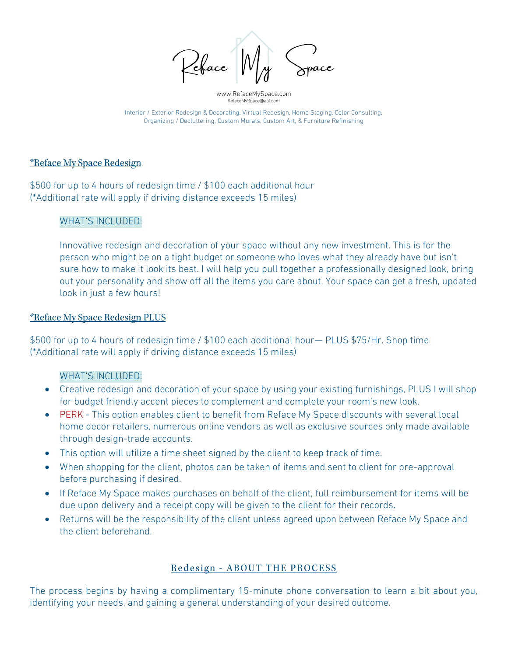www.RefaceMySpace.com RefaceMySpace@aol.com

Interior / Exterior Redesign & Decorating, Virtual Redesign, Home Staging, Color Consulting, Organizing / Decluttering, Custom Murals, Custom Art, & Furniture Refinishing

#### *\*Reface My Space Redesign*

\$500 for up to 4 hours of redesign time / \$100 each additional hour (\*Additional rate will apply if driving distance exceeds 15 miles)

### WHAT'S INCLUDED:

Innovative redesign and decoration of your space without any new investment. This is for the person who might be on a tight budget or someone who loves what they already have but isn't sure how to make it look its best. I will help you pull together a professionally designed look, bring out your personality and show off all the items you care about. Your space can get a fresh, updated look in just a few hours!

#### \*Reface My Space Redesign PLUS

\$500 for up to 4 hours of redesign time / \$100 each additional hour— PLUS \$75/Hr. Shop time (\*Additional rate will apply if driving distance exceeds 15 miles)

## WHAT'S INCLUDED:

- Creative redesign and decoration of your space by using your existing furnishings, PLUS I will shop for budget friendly accent pieces to complement and complete your room's new look.
- PERK This option enables client to benefit from Reface My Space discounts with several local home decor retailers, numerous online vendors as well as exclusive sources only made available through design-trade accounts.
- This option will utilize a time sheet signed by the client to keep track of time.
- When shopping for the client, photos can be taken of items and sent to client for pre-approval before purchasing if desired.
- If Reface My Space makes purchases on behalf of the client, full reimbursement for items will be due upon delivery and a receipt copy will be given to the client for their records.
- Returns will be the responsibility of the client unless agreed upon between Reface My Space and the client beforehand.

# Redesign - ABOUT THE PROCESS

The process begins by having a complimentary 15-minute phone conversation to learn a bit about you, identifying your needs, and gaining a general understanding of your desired outcome.